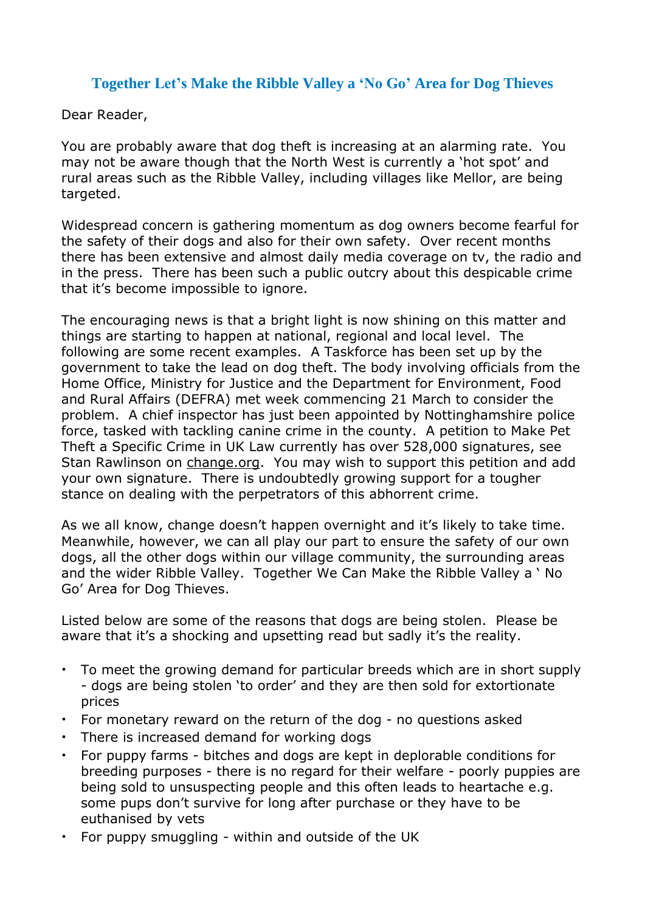#### **Together Let's Make the Ribble Valley a 'No Go' Area for Dog Thieves**

Dear Reader,

You are probably aware that dog theft is increasing at an alarming rate. You may not be aware though that the North West is currently a 'hot spot' and rural areas such as the Ribble Valley, including villages like Mellor, are being targeted.

Widespread concern is gathering momentum as dog owners become fearful for the safety of their dogs and also for their own safety. Over recent months there has been extensive and almost daily media coverage on tv, the radio and in the press. There has been such a public outcry about this despicable crime that it's become impossible to ignore.

The encouraging news is that a bright light is now shining on this matter and things are starting to happen at national, regional and local level. The following are some recent examples. A Taskforce has been set up by the government to take the lead on dog theft. The body involving officials from the Home Office, Ministry for Justice and the Department for Environment, Food and Rural Affairs (DEFRA) met week commencing 21 March to consider the problem. A chief inspector has just been appointed by Nottinghamshire police force, tasked with tackling canine crime in the county. A petition to Make Pet Theft a Specific Crime in UK Law currently has over 528,000 signatures, see Stan Rawlinson on [change.org.](http://change.org/) You may wish to support this petition and add your own signature. There is undoubtedly growing support for a tougher stance on dealing with the perpetrators of this abhorrent crime.

As we all know, change doesn't happen overnight and it's likely to take time. Meanwhile, however, we can all play our part to ensure the safety of our own dogs, all the other dogs within our village community, the surrounding areas and the wider Ribble Valley. Together We Can Make the Ribble Valley a ' No Go' Area for Dog Thieves.

Listed below are some of the reasons that dogs are being stolen. Please be aware that it's a shocking and upsetting read but sadly it's the reality.

- To meet the growing demand for particular breeds which are in short supply - dogs are being stolen 'to order' and they are then sold for extortionate prices
- For monetary reward on the return of the dog no questions asked
- There is increased demand for working dogs
- For puppy farms bitches and dogs are kept in deplorable conditions for breeding purposes - there is no regard for their welfare - poorly puppies are being sold to unsuspecting people and this often leads to heartache e.g. some pups don't survive for long after purchase or they have to be euthanised by vets
- For puppy smuggling within and outside of the UK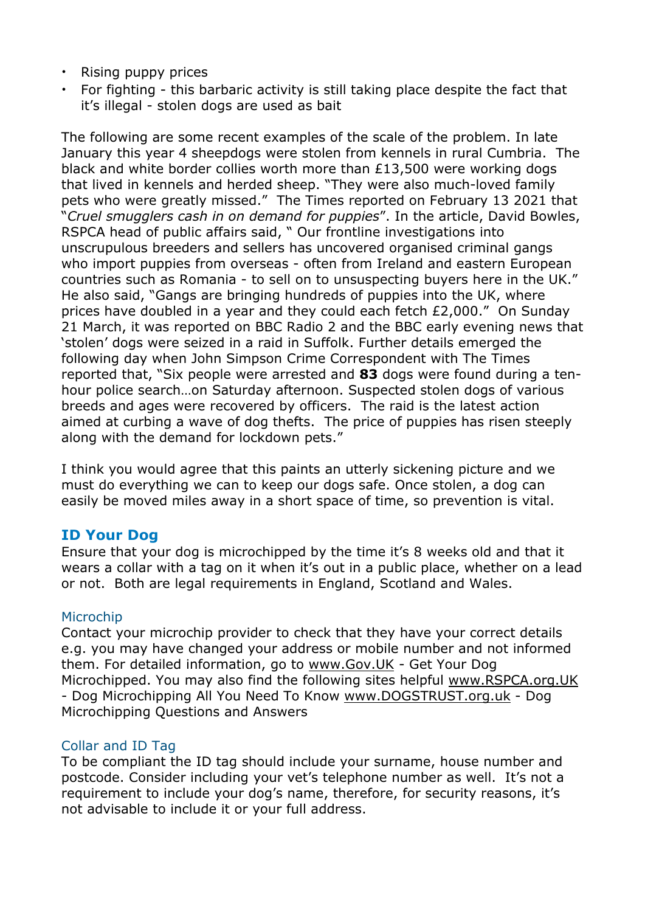- Rising puppy prices
- For fighting this barbaric activity is still taking place despite the fact that it's illegal - stolen dogs are used as bait

The following are some recent examples of the scale of the problem. In late January this year 4 sheepdogs were stolen from kennels in rural Cumbria. The black and white border collies worth more than £13,500 were working dogs that lived in kennels and herded sheep. "They were also much-loved family pets who were greatly missed." The Times reported on February 13 2021 that "*Cruel smugglers cash in on demand for puppies*". In the article, David Bowles, RSPCA head of public affairs said, " Our frontline investigations into unscrupulous breeders and sellers has uncovered organised criminal gangs who import puppies from overseas - often from Ireland and eastern European countries such as Romania - to sell on to unsuspecting buyers here in the UK." He also said, "Gangs are bringing hundreds of puppies into the UK, where prices have doubled in a year and they could each fetch £2,000." On Sunday 21 March, it was reported on BBC Radio 2 and the BBC early evening news that 'stolen' dogs were seized in a raid in Suffolk. Further details emerged the following day when John Simpson Crime Correspondent with The Times reported that, "Six people were arrested and **83** dogs were found during a tenhour police search…on Saturday afternoon. Suspected stolen dogs of various breeds and ages were recovered by officers. The raid is the latest action aimed at curbing a wave of dog thefts. The price of puppies has risen steeply along with the demand for lockdown pets."

I think you would agree that this paints an utterly sickening picture and we must do everything we can to keep our dogs safe. Once stolen, a dog can easily be moved miles away in a short space of time, so prevention is vital.

#### **ID Your Dog**

Ensure that your dog is microchipped by the time it's 8 weeks old and that it wears a collar with a tag on it when it's out in a public place, whether on a lead or not. Both are legal requirements in England, Scotland and Wales.

#### Microchip

Contact your microchip provider to check that they have your correct details e.g. you may have changed your address or mobile number and not informed them. For detailed information, go to [www.Gov.UK](http://www.gov.uk/) - Get Your Dog Microchipped. You may also find the following sites helpful [www.RSPCA.org.UK](http://www.rspca.org.uk/) - Dog Microchipping All You Need To Know [www.DOGSTRUST.org.uk](http://www.dogstrust.org.uk/) - Dog Microchipping Questions and Answers

#### Collar and ID Tag

To be compliant the ID tag should include your surname, house number and postcode. Consider including your vet's telephone number as well. It's not a requirement to include your dog's name, therefore, for security reasons, it's not advisable to include it or your full address.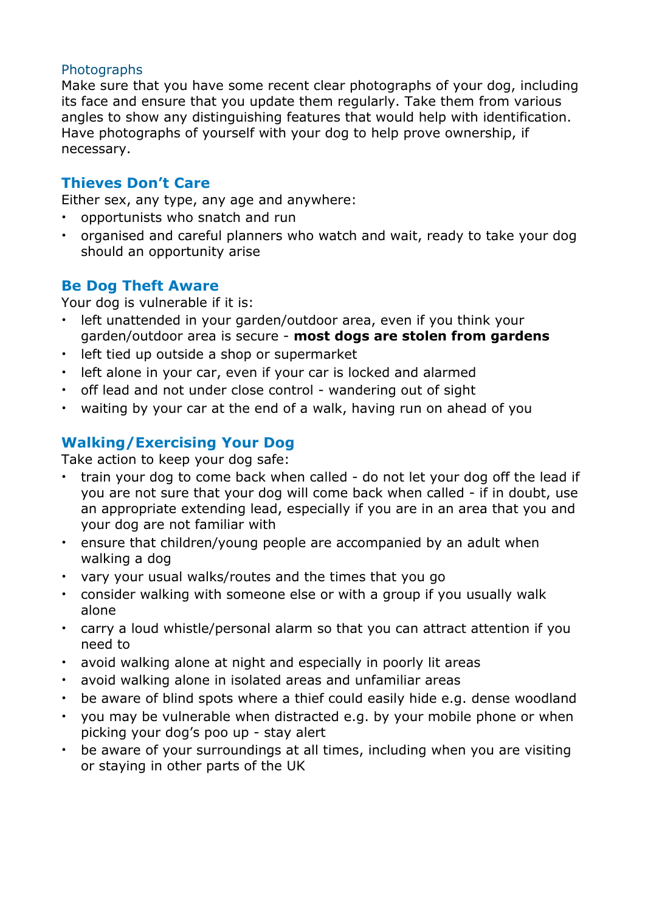#### **Photographs**

Make sure that you have some recent clear photographs of your dog, including its face and ensure that you update them regularly. Take them from various angles to show any distinguishing features that would help with identification. Have photographs of yourself with your dog to help prove ownership, if necessary.

### **Thieves Don't Care**

Either sex, any type, any age and anywhere:

- opportunists who snatch and run
- organised and careful planners who watch and wait, ready to take your dog should an opportunity arise

#### **Be Dog Theft Aware**

Your dog is vulnerable if it is:

- left unattended in your garden/outdoor area, even if you think your garden/outdoor area is secure - **most dogs are stolen from gardens**
- left tied up outside a shop or supermarket
- left alone in your car, even if your car is locked and alarmed
- off lead and not under close control wandering out of sight
- waiting by your car at the end of a walk, having run on ahead of you

### **Walking/Exercising Your Dog**

Take action to keep your dog safe:

- train your dog to come back when called do not let your dog off the lead if you are not sure that your dog will come back when called - if in doubt, use an appropriate extending lead, especially if you are in an area that you and your dog are not familiar with
- ensure that children/young people are accompanied by an adult when walking a dog
- vary your usual walks/routes and the times that you go
- consider walking with someone else or with a group if you usually walk alone
- carry a loud whistle/personal alarm so that you can attract attention if you need to
- avoid walking alone at night and especially in poorly lit areas
- avoid walking alone in isolated areas and unfamiliar areas
- be aware of blind spots where a thief could easily hide e.g. dense woodland
- you may be vulnerable when distracted e.g. by your mobile phone or when picking your dog's poo up - stay alert
- be aware of your surroundings at all times, including when you are visiting or staying in other parts of the UK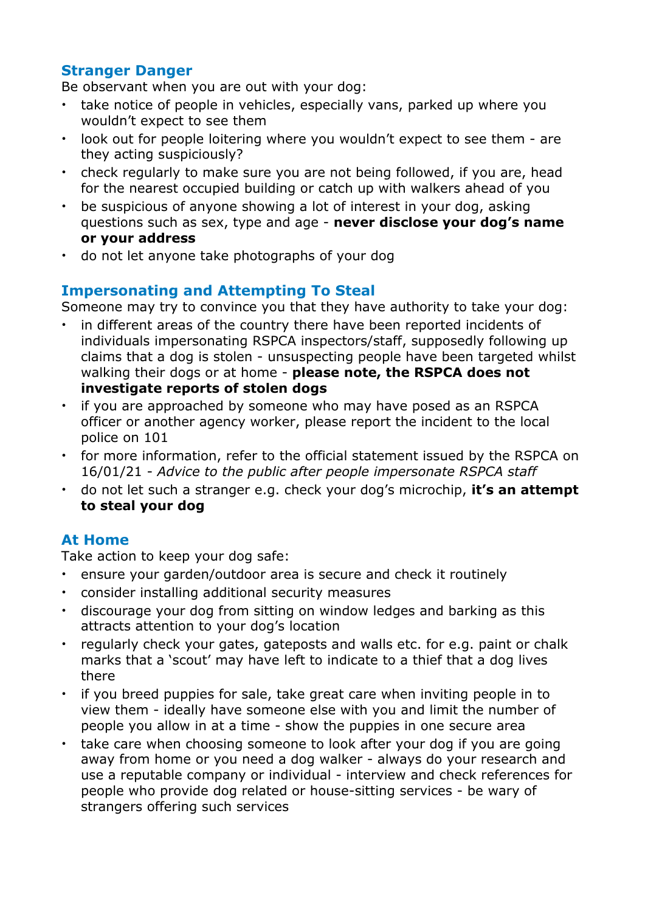### **Stranger Danger**

Be observant when you are out with your dog:

- take notice of people in vehicles, especially vans, parked up where you wouldn't expect to see them
- look out for people loitering where you wouldn't expect to see them are they acting suspiciously?
- check regularly to make sure you are not being followed, if you are, head for the nearest occupied building or catch up with walkers ahead of you
- be suspicious of anyone showing a lot of interest in your dog, asking questions such as sex, type and age - **never disclose your dog's name or your address**
- do not let anyone take photographs of your dog

### **Impersonating and Attempting To Steal**

Someone may try to convince you that they have authority to take your dog:

- in different areas of the country there have been reported incidents of individuals impersonating RSPCA inspectors/staff, supposedly following up claims that a dog is stolen - unsuspecting people have been targeted whilst walking their dogs or at home - **please note, the RSPCA does not investigate reports of stolen dogs**
- if you are approached by someone who may have posed as an RSPCA officer or another agency worker, please report the incident to the local police on 101
- for more information, refer to the official statement issued by the RSPCA on 16/01/21 - *Advice to the public after people impersonate RSPCA staff*
- do not let such a stranger e.g. check your dog's microchip, **it's an attempt to steal your dog**

# **At Home**

Take action to keep your dog safe:

- ensure your garden/outdoor area is secure and check it routinely
- consider installing additional security measures
- discourage your dog from sitting on window ledges and barking as this attracts attention to your dog's location
- regularly check your gates, gateposts and walls etc. for e.g. paint or chalk marks that a 'scout' may have left to indicate to a thief that a dog lives there
- if you breed puppies for sale, take great care when inviting people in to view them - ideally have someone else with you and limit the number of people you allow in at a time - show the puppies in one secure area
- take care when choosing someone to look after your dog if you are going away from home or you need a dog walker - always do your research and use a reputable company or individual - interview and check references for people who provide dog related or house-sitting services - be wary of strangers offering such services